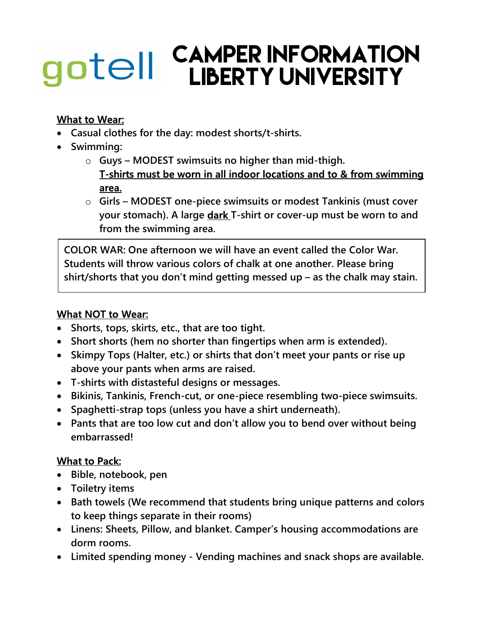# CAMPER INFORMATION gotell LIBERTY UNIVERSITY

# What to Wear:

- Casual clothes for the day: modest shorts/t-shirts.
- Swimming:
	- $\circ$  Guys MODEST swimsuits no higher than mid-thigh. T-shirts must be worn in all indoor locations and to & from swimming area.
	- o Girls MODEST one-piece swimsuits or modest Tankinis (must cover your stomach). A large dark T-shirt or cover-up must be worn to and from the swimming area.

COLOR WAR: One afternoon we will have an event called the Color War. Students will throw various colors of chalk at one another. Please bring shirt/shorts that you don't mind getting messed up – as the chalk may stain.

### What NOT to Wear:

- Shorts, tops, skirts, etc., that are too tight.
- Short shorts (hem no shorter than fingertips when arm is extended).
- Skimpy Tops (Halter, etc.) or shirts that don't meet your pants or rise up above your pants when arms are raised.
- T-shirts with distasteful designs or messages.
- Bikinis, Tankinis, French-cut, or one-piece resembling two-piece swimsuits.
- Spaghetti-strap tops (unless you have a shirt underneath).
- Pants that are too low cut and don't allow you to bend over without being embarrassed!

# What to Pack:

- Bible, notebook, pen
- Toiletry items
- Bath towels (We recommend that students bring unique patterns and colors to keep things separate in their rooms)
- Linens: Sheets, Pillow, and blanket. Camper's housing accommodations are dorm rooms.
- Limited spending money Vending machines and snack shops are available.